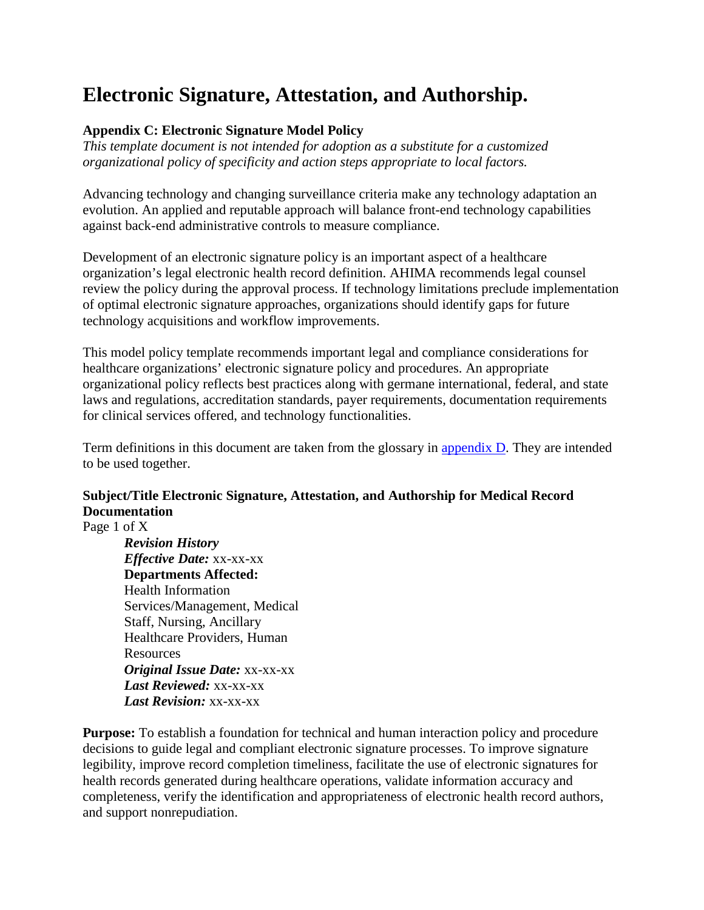# **Electronic Signature, Attestation, and Authorship.**

# **Appendix C: Electronic Signature Model Policy**

*This template document is not intended for adoption as a substitute for a customized organizational policy of specificity and action steps appropriate to local factors.* 

Advancing technology and changing surveillance criteria make any technology adaptation an evolution. An applied and reputable approach will balance front-end technology capabilities against back-end administrative controls to measure compliance.

Development of an electronic signature policy is an important aspect of a healthcare organization's legal electronic health record definition. AHIMA recommends legal counsel review the policy during the approval process. If technology limitations preclude implementation of optimal electronic signature approaches, organizations should identify gaps for future technology acquisitions and workflow improvements.

This model policy template recommends important legal and compliance considerations for healthcare organizations' electronic signature policy and procedures. An appropriate organizational policy reflects best practices along with germane international, federal, and state laws and regulations, accreditation standards, payer requirements, documentation requirements for clinical services offered, and technology functionalities.

Term definitions in this document are taken from the glossary in **appendix D**. They are intended to be used together.

# **Subject/Title Electronic Signature, Attestation, and Authorship for Medical Record Documentation**

Page 1 of X

*Revision History Effective Date:* xx-xx-xx **Departments Affected:** Health Information Services/Management, Medical Staff, Nursing, Ancillary Healthcare Providers, Human Resources *Original Issue Date:* xx-xx-xx *Last Reviewed:* xx-xx-xx *Last Revision:* xx-xx-xx

**Purpose:** To establish a foundation for technical and human interaction policy and procedure decisions to guide legal and compliant electronic signature processes. To improve signature legibility, improve record completion timeliness, facilitate the use of electronic signatures for health records generated during healthcare operations, validate information accuracy and completeness, verify the identification and appropriateness of electronic health record authors, and support nonrepudiation.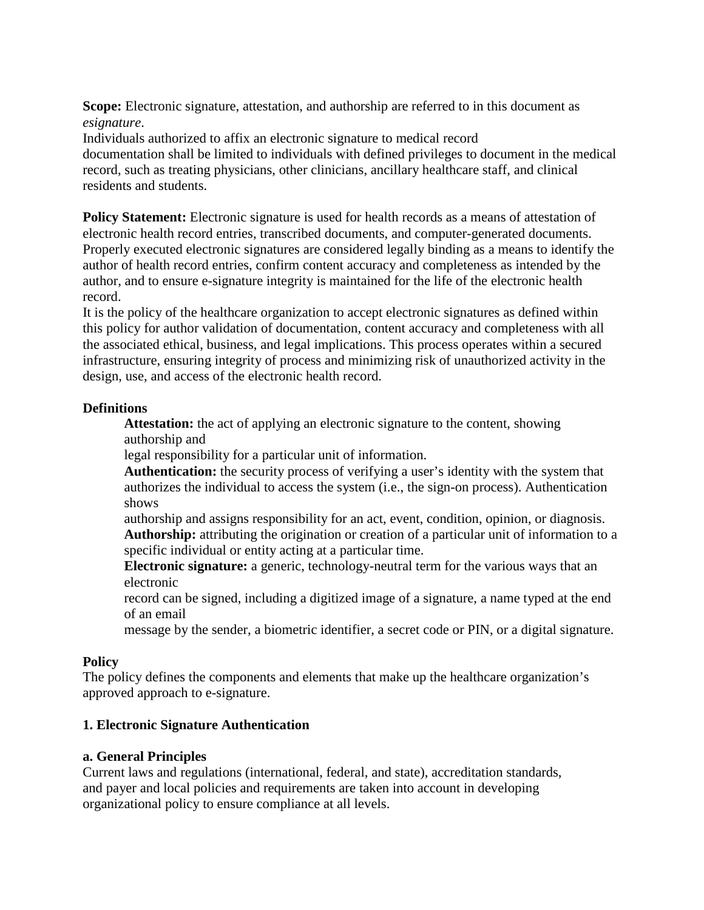**Scope:** Electronic signature, attestation, and authorship are referred to in this document as *esignature*.

Individuals authorized to affix an electronic signature to medical record documentation shall be limited to individuals with defined privileges to document in the medical record, such as treating physicians, other clinicians, ancillary healthcare staff, and clinical residents and students.

**Policy Statement:** Electronic signature is used for health records as a means of attestation of electronic health record entries, transcribed documents, and computer-generated documents. Properly executed electronic signatures are considered legally binding as a means to identify the author of health record entries, confirm content accuracy and completeness as intended by the author, and to ensure e-signature integrity is maintained for the life of the electronic health record.

It is the policy of the healthcare organization to accept electronic signatures as defined within this policy for author validation of documentation, content accuracy and completeness with all the associated ethical, business, and legal implications. This process operates within a secured infrastructure, ensuring integrity of process and minimizing risk of unauthorized activity in the design, use, and access of the electronic health record.

# **Definitions**

**Attestation:** the act of applying an electronic signature to the content, showing authorship and

legal responsibility for a particular unit of information.

**Authentication:** the security process of verifying a user's identity with the system that authorizes the individual to access the system (i.e., the sign-on process). Authentication shows

authorship and assigns responsibility for an act, event, condition, opinion, or diagnosis. **Authorship:** attributing the origination or creation of a particular unit of information to a specific individual or entity acting at a particular time.

**Electronic signature:** a generic, technology-neutral term for the various ways that an electronic

record can be signed, including a digitized image of a signature, a name typed at the end of an email

message by the sender, a biometric identifier, a secret code or PIN, or a digital signature.

# **Policy**

The policy defines the components and elements that make up the healthcare organization's approved approach to e-signature.

## **1. Electronic Signature Authentication**

## **a. General Principles**

Current laws and regulations (international, federal, and state), accreditation standards, and payer and local policies and requirements are taken into account in developing organizational policy to ensure compliance at all levels.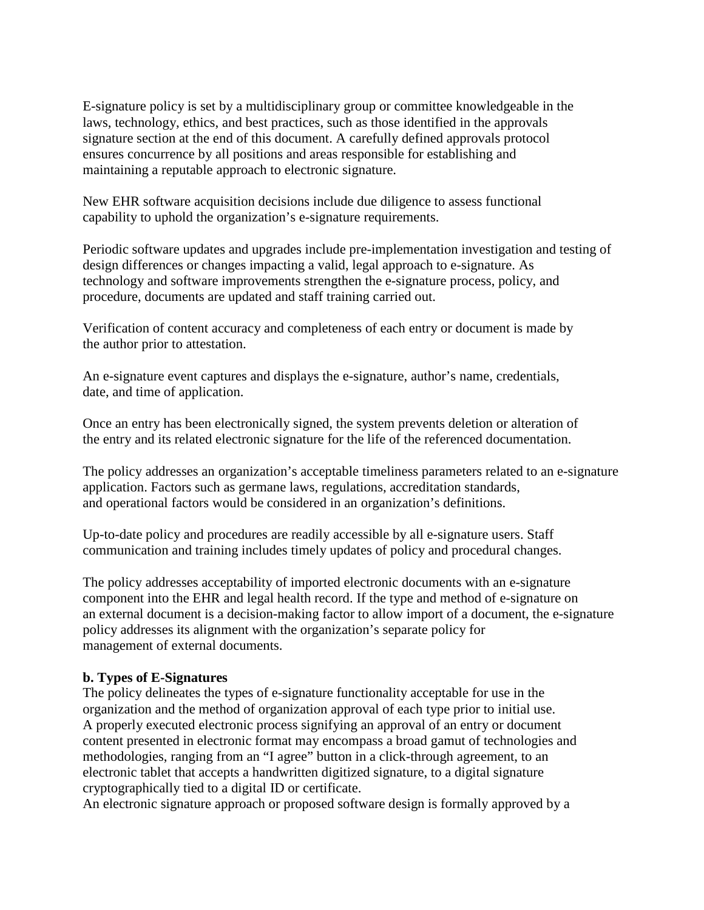E-signature policy is set by a multidisciplinary group or committee knowledgeable in the laws, technology, ethics, and best practices, such as those identified in the approvals signature section at the end of this document. A carefully defined approvals protocol ensures concurrence by all positions and areas responsible for establishing and maintaining a reputable approach to electronic signature.

New EHR software acquisition decisions include due diligence to assess functional capability to uphold the organization's e-signature requirements.

Periodic software updates and upgrades include pre-implementation investigation and testing of design differences or changes impacting a valid, legal approach to e-signature. As technology and software improvements strengthen the e-signature process, policy, and procedure, documents are updated and staff training carried out.

Verification of content accuracy and completeness of each entry or document is made by the author prior to attestation.

An e-signature event captures and displays the e-signature, author's name, credentials, date, and time of application.

Once an entry has been electronically signed, the system prevents deletion or alteration of the entry and its related electronic signature for the life of the referenced documentation.

The policy addresses an organization's acceptable timeliness parameters related to an e-signature application. Factors such as germane laws, regulations, accreditation standards, and operational factors would be considered in an organization's definitions.

Up-to-date policy and procedures are readily accessible by all e-signature users. Staff communication and training includes timely updates of policy and procedural changes.

The policy addresses acceptability of imported electronic documents with an e-signature component into the EHR and legal health record. If the type and method of e-signature on an external document is a decision-making factor to allow import of a document, the e-signature policy addresses its alignment with the organization's separate policy for management of external documents.

# **b. Types of E-Signatures**

The policy delineates the types of e-signature functionality acceptable for use in the organization and the method of organization approval of each type prior to initial use. A properly executed electronic process signifying an approval of an entry or document content presented in electronic format may encompass a broad gamut of technologies and methodologies, ranging from an "I agree" button in a click-through agreement, to an electronic tablet that accepts a handwritten digitized signature, to a digital signature cryptographically tied to a digital ID or certificate.

An electronic signature approach or proposed software design is formally approved by a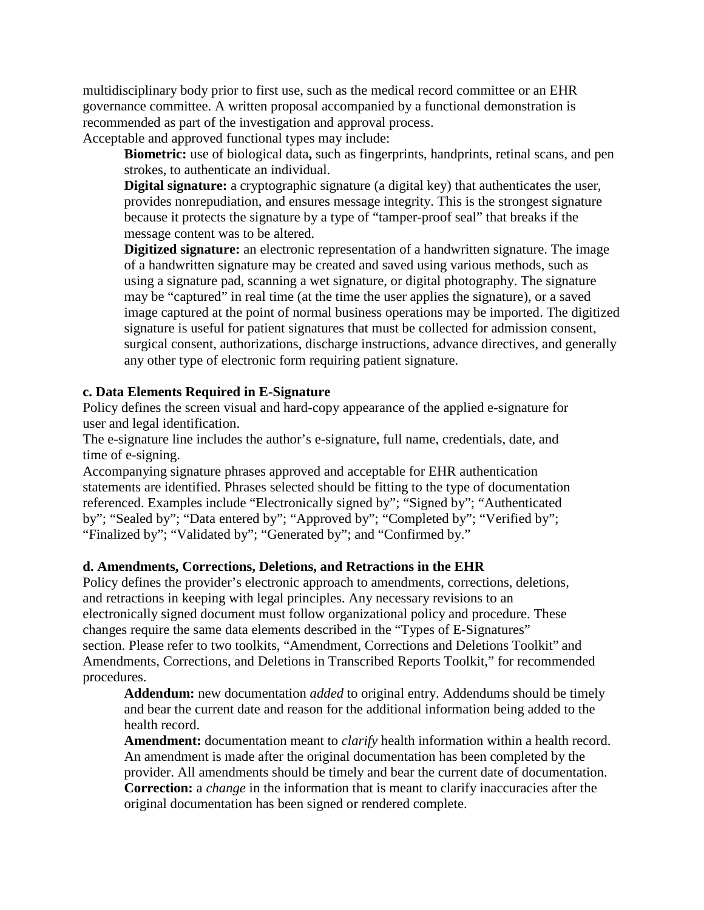multidisciplinary body prior to first use, such as the medical record committee or an EHR governance committee. A written proposal accompanied by a functional demonstration is recommended as part of the investigation and approval process.

Acceptable and approved functional types may include:

**Biometric:** use of biological data**,** such as fingerprints, handprints, retinal scans, and pen strokes, to authenticate an individual.

**Digital signature:** a cryptographic signature (a digital key) that authenticates the user, provides nonrepudiation, and ensures message integrity. This is the strongest signature because it protects the signature by a type of "tamper-proof seal" that breaks if the message content was to be altered.

**Digitized signature:** an electronic representation of a handwritten signature. The image of a handwritten signature may be created and saved using various methods, such as using a signature pad, scanning a wet signature, or digital photography. The signature may be "captured" in real time (at the time the user applies the signature), or a saved image captured at the point of normal business operations may be imported. The digitized signature is useful for patient signatures that must be collected for admission consent, surgical consent, authorizations, discharge instructions, advance directives, and generally any other type of electronic form requiring patient signature.

## **c. Data Elements Required in E-Signature**

Policy defines the screen visual and hard-copy appearance of the applied e-signature for user and legal identification.

The e-signature line includes the author's e-signature, full name, credentials, date, and time of e-signing.

Accompanying signature phrases approved and acceptable for EHR authentication statements are identified. Phrases selected should be fitting to the type of documentation referenced. Examples include "Electronically signed by"; "Signed by"; "Authenticated by"; "Sealed by"; "Data entered by"; "Approved by"; "Completed by"; "Verified by"; "Finalized by"; "Validated by"; "Generated by"; and "Confirmed by."

## **d. Amendments, Corrections, Deletions, and Retractions in the EHR**

Policy defines the provider's electronic approach to amendments, corrections, deletions, and retractions in keeping with legal principles. Any necessary revisions to an electronically signed document must follow organizational policy and procedure. These changes require the same data elements described in the "Types of E-Signatures" section. Please refer to two toolkits, "Amendment, Corrections and Deletions Toolkit" and Amendments, Corrections, and Deletions in Transcribed Reports Toolkit," for recommended procedures.

**Addendum:** new documentation *added* to original entry. Addendums should be timely and bear the current date and reason for the additional information being added to the health record.

**Amendment:** documentation meant to *clarify* health information within a health record. An amendment is made after the original documentation has been completed by the provider. All amendments should be timely and bear the current date of documentation. **Correction:** a *change* in the information that is meant to clarify inaccuracies after the original documentation has been signed or rendered complete.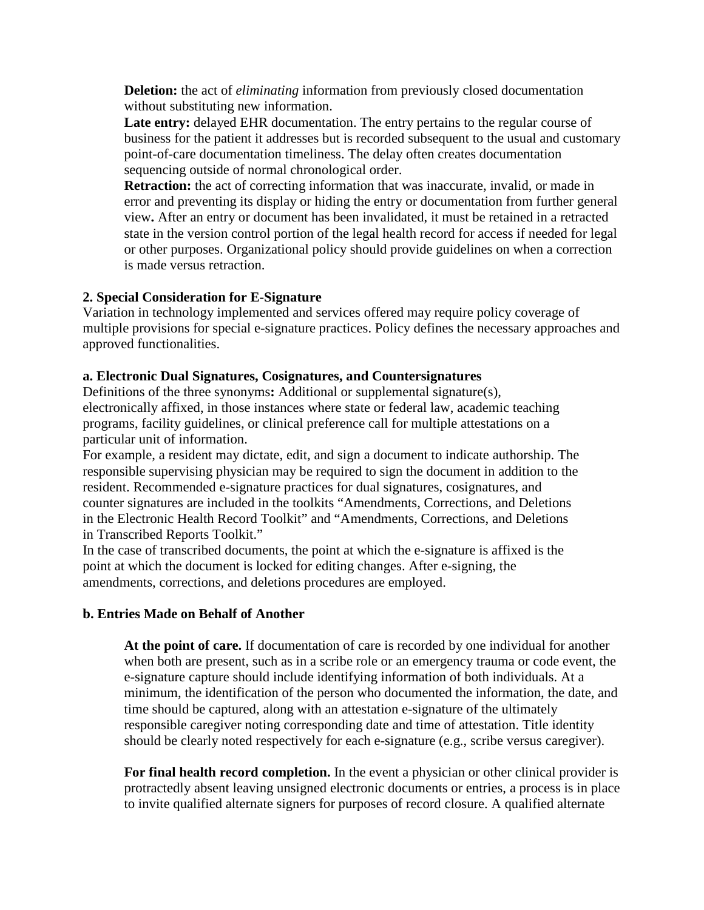**Deletion:** the act of *eliminating* information from previously closed documentation without substituting new information.

Late entry: delayed EHR documentation. The entry pertains to the regular course of business for the patient it addresses but is recorded subsequent to the usual and customary point-of-care documentation timeliness. The delay often creates documentation sequencing outside of normal chronological order.

**Retraction:** the act of correcting information that was inaccurate, invalid, or made in error and preventing its display or hiding the entry or documentation from further general view**.** After an entry or document has been invalidated, it must be retained in a retracted state in the version control portion of the legal health record for access if needed for legal or other purposes. Organizational policy should provide guidelines on when a correction is made versus retraction.

# **2. Special Consideration for E-Signature**

Variation in technology implemented and services offered may require policy coverage of multiple provisions for special e-signature practices. Policy defines the necessary approaches and approved functionalities.

## **a. Electronic Dual Signatures, Cosignatures, and Countersignatures**

Definitions of the three synonyms**:** Additional or supplemental signature(s), electronically affixed, in those instances where state or federal law, academic teaching programs, facility guidelines, or clinical preference call for multiple attestations on a particular unit of information.

For example, a resident may dictate, edit, and sign a document to indicate authorship. The responsible supervising physician may be required to sign the document in addition to the resident. Recommended e-signature practices for dual signatures, cosignatures, and counter signatures are included in the toolkits "Amendments, Corrections, and Deletions in the Electronic Health Record Toolkit" and "Amendments, Corrections, and Deletions in Transcribed Reports Toolkit."

In the case of transcribed documents, the point at which the e-signature is affixed is the point at which the document is locked for editing changes. After e-signing, the amendments, corrections, and deletions procedures are employed.

## **b. Entries Made on Behalf of Another**

**At the point of care.** If documentation of care is recorded by one individual for another when both are present, such as in a scribe role or an emergency trauma or code event, the e-signature capture should include identifying information of both individuals. At a minimum, the identification of the person who documented the information, the date, and time should be captured, along with an attestation e-signature of the ultimately responsible caregiver noting corresponding date and time of attestation. Title identity should be clearly noted respectively for each e-signature (e.g., scribe versus caregiver).

**For final health record completion.** In the event a physician or other clinical provider is protractedly absent leaving unsigned electronic documents or entries, a process is in place to invite qualified alternate signers for purposes of record closure. A qualified alternate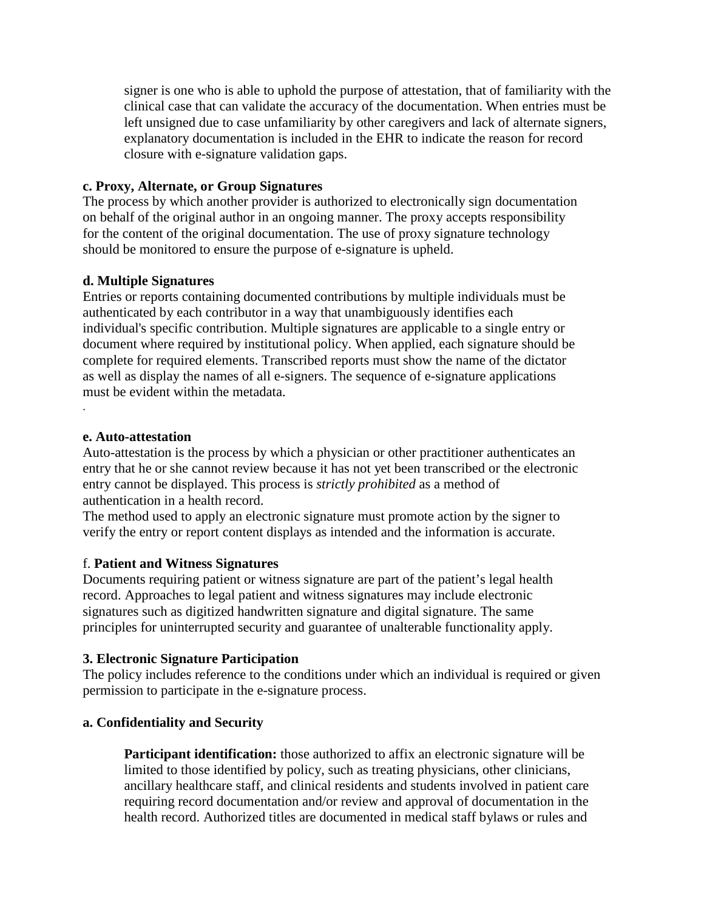signer is one who is able to uphold the purpose of attestation, that of familiarity with the clinical case that can validate the accuracy of the documentation. When entries must be left unsigned due to case unfamiliarity by other caregivers and lack of alternate signers, explanatory documentation is included in the EHR to indicate the reason for record closure with e-signature validation gaps.

## **c. Proxy, Alternate, or Group Signatures**

The process by which another provider is authorized to electronically sign documentation on behalf of the original author in an ongoing manner. The proxy accepts responsibility for the content of the original documentation. The use of proxy signature technology should be monitored to ensure the purpose of e-signature is upheld.

## **d. Multiple Signatures**

Entries or reports containing documented contributions by multiple individuals must be authenticated by each contributor in a way that unambiguously identifies each individual's specific contribution. Multiple signatures are applicable to a single entry or document where required by institutional policy. When applied, each signature should be complete for required elements. Transcribed reports must show the name of the dictator as well as display the names of all e-signers. The sequence of e-signature applications must be evident within the metadata.

#### **e. Auto-attestation**

.

Auto-attestation is the process by which a physician or other practitioner authenticates an entry that he or she cannot review because it has not yet been transcribed or the electronic entry cannot be displayed. This process is *strictly prohibited* as a method of authentication in a health record.

The method used to apply an electronic signature must promote action by the signer to verify the entry or report content displays as intended and the information is accurate.

## f. **Patient and Witness Signatures**

Documents requiring patient or witness signature are part of the patient's legal health record. Approaches to legal patient and witness signatures may include electronic signatures such as digitized handwritten signature and digital signature. The same principles for uninterrupted security and guarantee of unalterable functionality apply.

## **3. Electronic Signature Participation**

The policy includes reference to the conditions under which an individual is required or given permission to participate in the e-signature process.

# **a. Confidentiality and Security**

**Participant identification:** those authorized to affix an electronic signature will be limited to those identified by policy, such as treating physicians, other clinicians, ancillary healthcare staff, and clinical residents and students involved in patient care requiring record documentation and/or review and approval of documentation in the health record. Authorized titles are documented in medical staff bylaws or rules and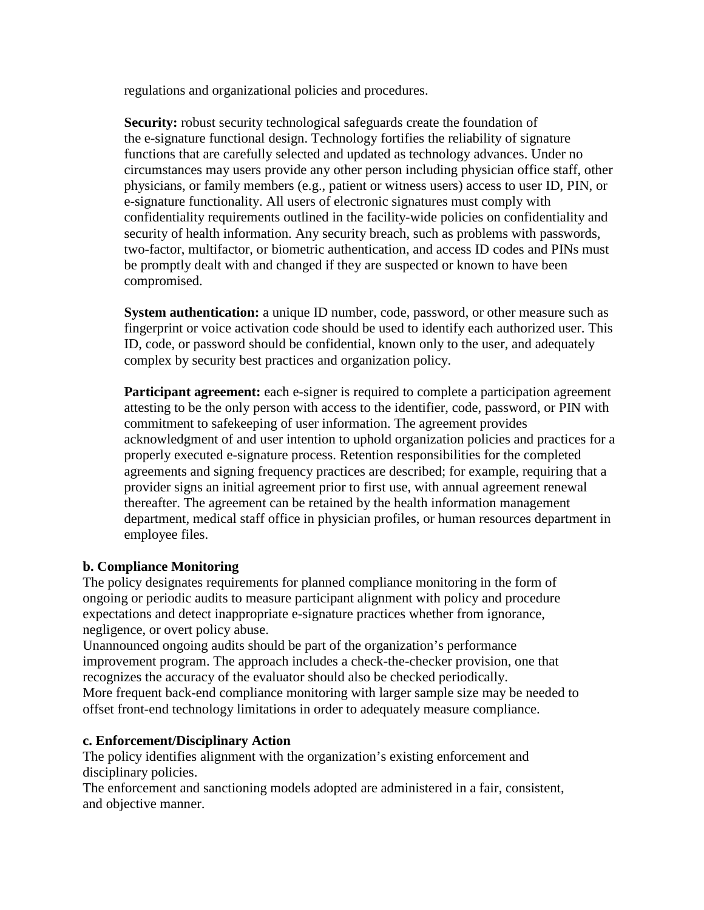regulations and organizational policies and procedures.

**Security:** robust security technological safeguards create the foundation of the e-signature functional design. Technology fortifies the reliability of signature functions that are carefully selected and updated as technology advances. Under no circumstances may users provide any other person including physician office staff, other physicians, or family members (e.g., patient or witness users) access to user ID, PIN, or e-signature functionality. All users of electronic signatures must comply with confidentiality requirements outlined in the facility-wide policies on confidentiality and security of health information. Any security breach, such as problems with passwords, two-factor, multifactor, or biometric authentication, and access ID codes and PINs must be promptly dealt with and changed if they are suspected or known to have been compromised.

**System authentication:** a unique ID number, code, password, or other measure such as fingerprint or voice activation code should be used to identify each authorized user. This ID, code, or password should be confidential, known only to the user, and adequately complex by security best practices and organization policy.

**Participant agreement:** each e-signer is required to complete a participation agreement attesting to be the only person with access to the identifier, code, password, or PIN with commitment to safekeeping of user information. The agreement provides acknowledgment of and user intention to uphold organization policies and practices for a properly executed e-signature process. Retention responsibilities for the completed agreements and signing frequency practices are described; for example, requiring that a provider signs an initial agreement prior to first use, with annual agreement renewal thereafter. The agreement can be retained by the health information management department, medical staff office in physician profiles, or human resources department in employee files.

## **b. Compliance Monitoring**

The policy designates requirements for planned compliance monitoring in the form of ongoing or periodic audits to measure participant alignment with policy and procedure expectations and detect inappropriate e-signature practices whether from ignorance, negligence, or overt policy abuse.

Unannounced ongoing audits should be part of the organization's performance improvement program. The approach includes a check-the-checker provision, one that recognizes the accuracy of the evaluator should also be checked periodically. More frequent back-end compliance monitoring with larger sample size may be needed to offset front-end technology limitations in order to adequately measure compliance.

## **c. Enforcement/Disciplinary Action**

The policy identifies alignment with the organization's existing enforcement and disciplinary policies.

The enforcement and sanctioning models adopted are administered in a fair, consistent, and objective manner.